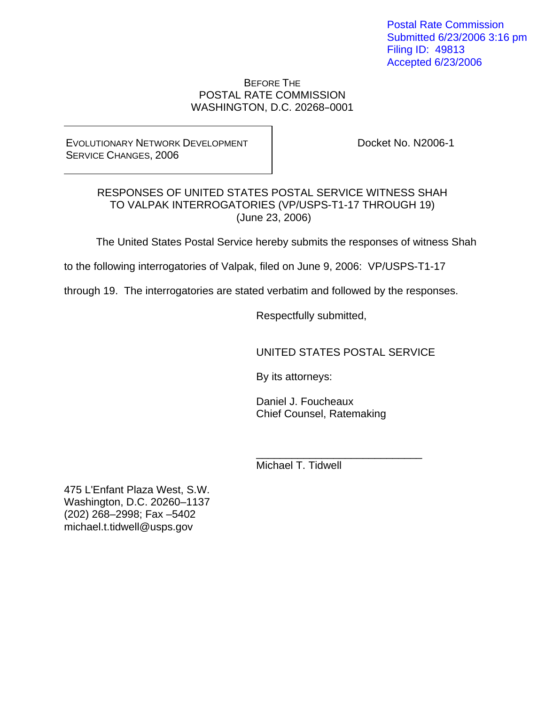Postal Rate Commission Submitted 6/23/2006 3:16 pm Filing ID: 49813 Accepted 6/23/2006

#### BEFORE THE POSTAL RATE COMMISSION WASHINGTON, D.C. 20268-0001

EVOLUTIONARY NETWORK DEVELOPMENT SERVICE CHANGES, 2006

Docket No. N2006-1

#### RESPONSES OF UNITED STATES POSTAL SERVICE WITNESS SHAH TO VALPAK INTERROGATORIES (VP/USPS-T1-17 THROUGH 19) (June 23, 2006)

The United States Postal Service hereby submits the responses of witness Shah

to the following interrogatories of Valpak, filed on June 9, 2006: VP/USPS-T1-17

 $\frac{1}{\sqrt{2}}$  ,  $\frac{1}{\sqrt{2}}$  ,  $\frac{1}{\sqrt{2}}$  ,  $\frac{1}{\sqrt{2}}$  ,  $\frac{1}{\sqrt{2}}$  ,  $\frac{1}{\sqrt{2}}$  ,  $\frac{1}{\sqrt{2}}$  ,  $\frac{1}{\sqrt{2}}$  ,  $\frac{1}{\sqrt{2}}$  ,  $\frac{1}{\sqrt{2}}$  ,  $\frac{1}{\sqrt{2}}$  ,  $\frac{1}{\sqrt{2}}$  ,  $\frac{1}{\sqrt{2}}$  ,  $\frac{1}{\sqrt{2}}$  ,  $\frac{1}{\sqrt{2}}$ 

through 19. The interrogatories are stated verbatim and followed by the responses.

Respectfully submitted,

UNITED STATES POSTAL SERVICE

By its attorneys:

 Daniel J. Foucheaux Chief Counsel, Ratemaking

Michael T. Tidwell

475 L'Enfant Plaza West, S.W. Washington, D.C. 20260–1137 (202) 268–2998; Fax –5402 michael.t.tidwell@usps.gov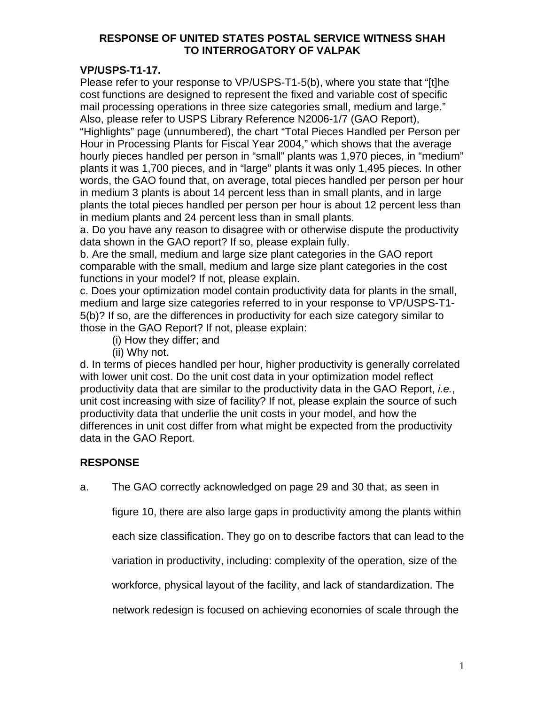## **VP/USPS-T1-17.**

Please refer to your response to VP/USPS-T1-5(b), where you state that "[t]he cost functions are designed to represent the fixed and variable cost of specific mail processing operations in three size categories small, medium and large." Also, please refer to USPS Library Reference N2006-1/7 (GAO Report),

"Highlights" page (unnumbered), the chart "Total Pieces Handled per Person per Hour in Processing Plants for Fiscal Year 2004," which shows that the average hourly pieces handled per person in "small" plants was 1,970 pieces, in "medium" plants it was 1,700 pieces, and in "large" plants it was only 1,495 pieces. In other words, the GAO found that, on average, total pieces handled per person per hour in medium 3 plants is about 14 percent less than in small plants, and in large plants the total pieces handled per person per hour is about 12 percent less than in medium plants and 24 percent less than in small plants.

a. Do you have any reason to disagree with or otherwise dispute the productivity data shown in the GAO report? If so, please explain fully.

b. Are the small, medium and large size plant categories in the GAO report comparable with the small, medium and large size plant categories in the cost functions in your model? If not, please explain.

c. Does your optimization model contain productivity data for plants in the small, medium and large size categories referred to in your response to VP/USPS-T1- 5(b)? If so, are the differences in productivity for each size category similar to those in the GAO Report? If not, please explain:

- (i) How they differ; and
- (ii) Why not.

d. In terms of pieces handled per hour, higher productivity is generally correlated with lower unit cost. Do the unit cost data in your optimization model reflect productivity data that are similar to the productivity data in the GAO Report, *i.e.*, unit cost increasing with size of facility? If not, please explain the source of such productivity data that underlie the unit costs in your model, and how the differences in unit cost differ from what might be expected from the productivity data in the GAO Report.

# **RESPONSE**

a. The GAO correctly acknowledged on page 29 and 30 that, as seen in

figure 10, there are also large gaps in productivity among the plants within

each size classification. They go on to describe factors that can lead to the

variation in productivity, including: complexity of the operation, size of the

workforce, physical layout of the facility, and lack of standardization. The

network redesign is focused on achieving economies of scale through the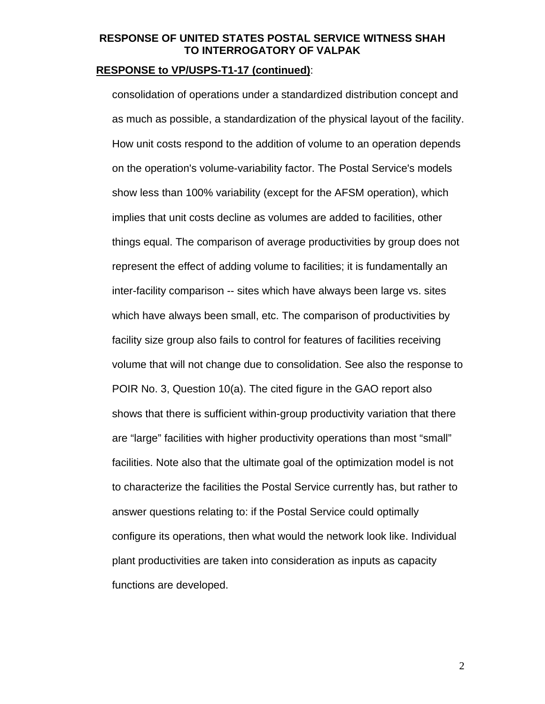#### **RESPONSE to VP/USPS-T1-17 (continued)**:

 consolidation of operations under a standardized distribution concept and as much as possible, a standardization of the physical layout of the facility. How unit costs respond to the addition of volume to an operation depends on the operation's volume-variability factor. The Postal Service's models show less than 100% variability (except for the AFSM operation), which implies that unit costs decline as volumes are added to facilities, other things equal. The comparison of average productivities by group does not represent the effect of adding volume to facilities; it is fundamentally an inter-facility comparison -- sites which have always been large vs. sites which have always been small, etc. The comparison of productivities by facility size group also fails to control for features of facilities receiving volume that will not change due to consolidation. See also the response to POIR No. 3, Question 10(a). The cited figure in the GAO report also shows that there is sufficient within-group productivity variation that there are "large" facilities with higher productivity operations than most "small" facilities. Note also that the ultimate goal of the optimization model is not to characterize the facilities the Postal Service currently has, but rather to answer questions relating to: if the Postal Service could optimally configure its operations, then what would the network look like. Individual plant productivities are taken into consideration as inputs as capacity functions are developed.

2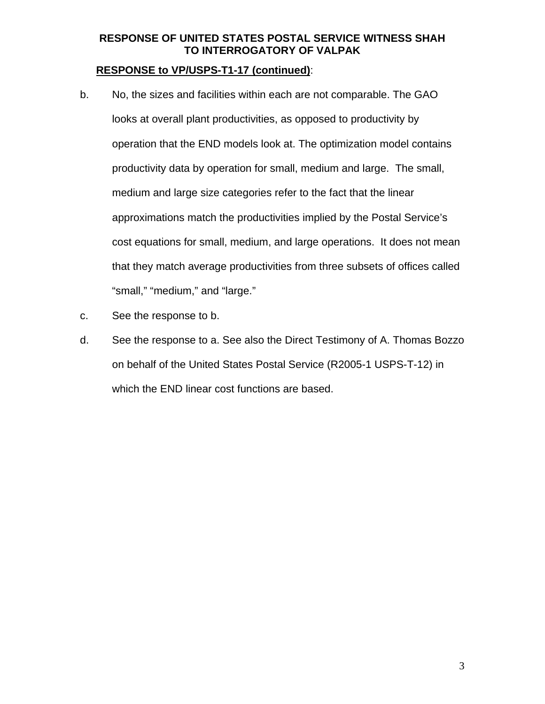#### **RESPONSE to VP/USPS-T1-17 (continued)**:

- b. No, the sizes and facilities within each are not comparable. The GAO looks at overall plant productivities, as opposed to productivity by operation that the END models look at. The optimization model contains productivity data by operation for small, medium and large. The small, medium and large size categories refer to the fact that the linear approximations match the productivities implied by the Postal Service's cost equations for small, medium, and large operations. It does not mean that they match average productivities from three subsets of offices called "small," "medium," and "large."
- c. See the response to b.
- d. See the response to a. See also the Direct Testimony of A. Thomas Bozzo on behalf of the United States Postal Service (R2005-1 USPS-T-12) in which the END linear cost functions are based.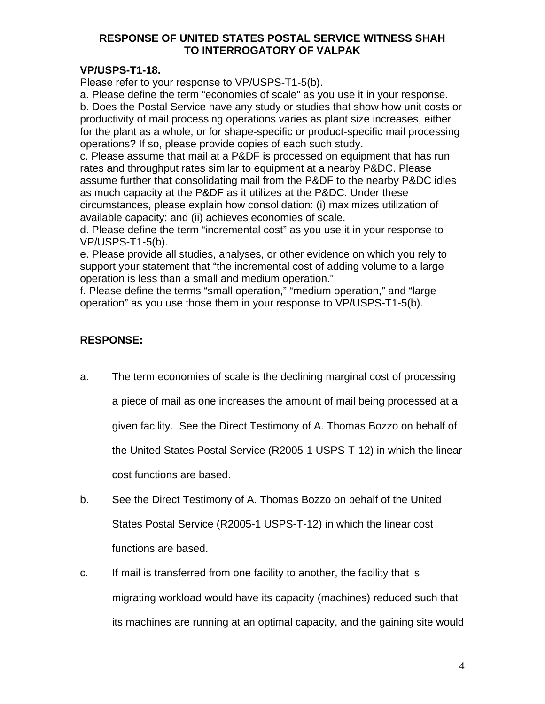# **VP/USPS-T1-18.**

Please refer to your response to VP/USPS-T1-5(b).

a. Please define the term "economies of scale" as you use it in your response. b. Does the Postal Service have any study or studies that show how unit costs or productivity of mail processing operations varies as plant size increases, either for the plant as a whole, or for shape-specific or product-specific mail processing operations? If so, please provide copies of each such study.

c. Please assume that mail at a P&DF is processed on equipment that has run rates and throughput rates similar to equipment at a nearby P&DC. Please assume further that consolidating mail from the P&DF to the nearby P&DC idles as much capacity at the P&DF as it utilizes at the P&DC. Under these circumstances, please explain how consolidation: (i) maximizes utilization of available capacity; and (ii) achieves economies of scale.

d. Please define the term "incremental cost" as you use it in your response to VP/USPS-T1-5(b).

e. Please provide all studies, analyses, or other evidence on which you rely to support your statement that "the incremental cost of adding volume to a large operation is less than a small and medium operation."

f. Please define the terms "small operation," "medium operation," and "large operation" as you use those them in your response to VP/USPS-T1-5(b).

# **RESPONSE:**

- a. The term economies of scale is the declining marginal cost of processing a piece of mail as one increases the amount of mail being processed at a given facility. See the Direct Testimony of A. Thomas Bozzo on behalf of the United States Postal Service (R2005-1 USPS-T-12) in which the linear cost functions are based.
- b. See the Direct Testimony of A. Thomas Bozzo on behalf of the United States Postal Service (R2005-1 USPS-T-12) in which the linear cost functions are based.
- c. If mail is transferred from one facility to another, the facility that is migrating workload would have its capacity (machines) reduced such that its machines are running at an optimal capacity, and the gaining site would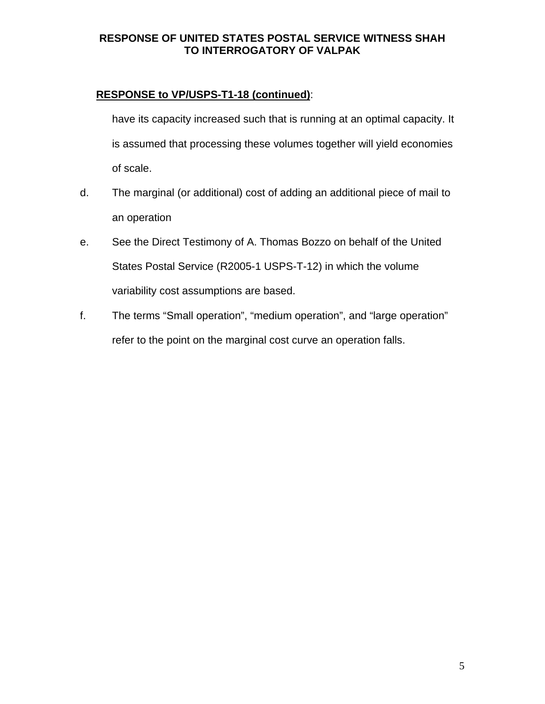# **RESPONSE to VP/USPS-T1-18 (continued)**:

 have its capacity increased such that is running at an optimal capacity. It is assumed that processing these volumes together will yield economies of scale.

- d. The marginal (or additional) cost of adding an additional piece of mail to an operation
- e. See the Direct Testimony of A. Thomas Bozzo on behalf of the United States Postal Service (R2005-1 USPS-T-12) in which the volume variability cost assumptions are based.
- f. The terms "Small operation", "medium operation", and "large operation" refer to the point on the marginal cost curve an operation falls.